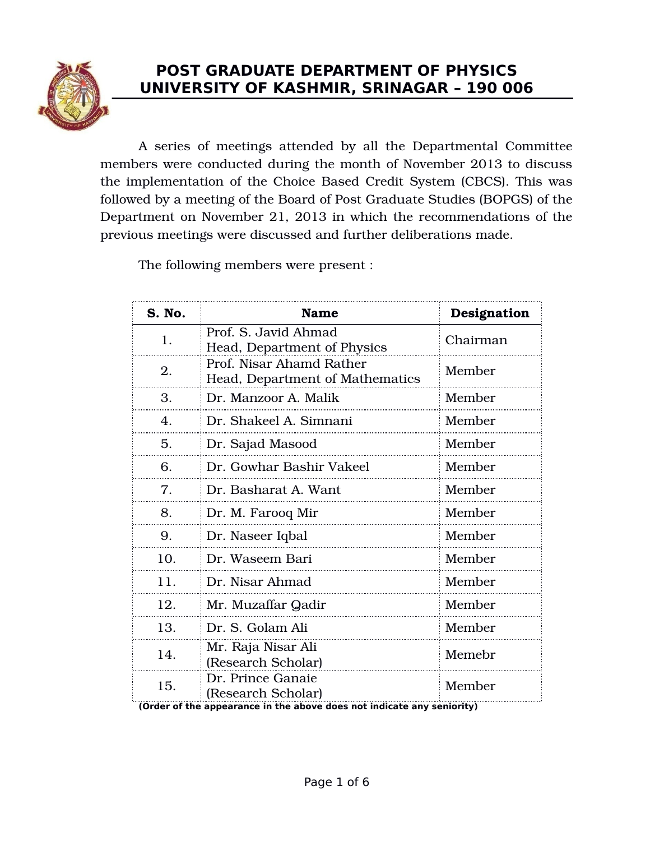

# **POST GRADUATE DEPARTMENT OF PHYSICS UNIVERSITY OF KASHMIR, SRINAGAR – 190 006**

A series of meetings attended by all the Departmental Committee members were conducted during the month of November 2013 to discuss the implementation of the Choice Based Credit System (CBCS). This was followed by a meeting of the Board of Post Graduate Studies (BOPGS) of the Department on November 21, 2013 in which the recommendations of the previous meetings were discussed and further deliberations made.

The following members were present :

| 1.  | Prof. S. Javid Ahmad<br>Head, Department of Physics                                                               | Chairman |
|-----|-------------------------------------------------------------------------------------------------------------------|----------|
|     |                                                                                                                   |          |
| 2.  | Prof. Nisar Ahamd Rather<br>Head, Department of Mathematics                                                       | Member   |
| З.  | Dr. Manzoor A. Malik                                                                                              | Member   |
| 4.  | Dr. Shakeel A. Simnani                                                                                            | Member   |
| 5.  | Dr. Sajad Masood                                                                                                  | Member   |
| 6.  | Dr. Gowhar Bashir Vakeel                                                                                          | Member   |
| 7.  | Dr. Basharat A. Want                                                                                              | Member   |
| 8.  | Dr. M. Farooq Mir                                                                                                 | Member   |
| 9.  | Dr. Naseer Iqbal                                                                                                  | Member   |
| 10. | Dr. Waseem Bari                                                                                                   | Member   |
| 11. | Dr. Nisar Ahmad                                                                                                   | Member   |
| 12. | Mr. Muzaffar Qadir                                                                                                | Member   |
| 13. | Dr. S. Golam Ali                                                                                                  | Member   |
| 14. | Mr. Raja Nisar Ali<br>(Research Scholar)                                                                          | Memebr   |
| 15. | Dr. Prince Ganaie<br>(Research Scholar)<br>(Order of the appearance in the above does not indicate any seniority) | Member   |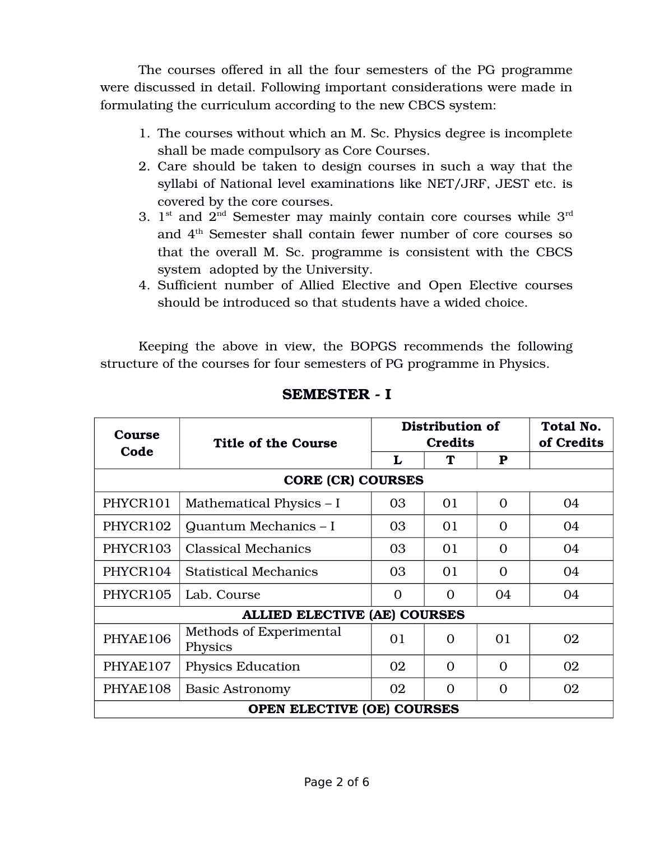The courses offered in all the four semesters of the PG programme were discussed in detail. Following important considerations were made in formulating the curriculum according to the new CBCS system:

- 1. The courses without which an M. Sc. Physics degree is incomplete shall be made compulsory as Core Courses.
- 2. Care should be taken to design courses in such a way that the syllabi of National level examinations like NET/JRF, JEST etc. is covered by the core courses.
- 3.  $1^{\text{st}}$  and  $2^{\text{nd}}$  Semester may mainly contain core courses while  $3^{\text{rd}}$ and 4th Semester shall contain fewer number of core courses so that the overall M. Sc. programme is consistent with the CBCS system adopted by the University.
- 4. Sufficient number of Allied Elective and Open Elective courses should be introduced so that students have a wided choice.

Keeping the above in view, the BOPGS recommends the following structure of the courses for four semesters of PG programme in Physics.

| Course                   | <b>Title of the Course</b>          |          | Distribution of<br><b>Credits</b> |             | Total No.<br>of Credits |  |
|--------------------------|-------------------------------------|----------|-----------------------------------|-------------|-------------------------|--|
| Code                     |                                     | L        | ፐ                                 | $\mathbf P$ |                         |  |
| <b>CORE (CR) COURSES</b> |                                     |          |                                   |             |                         |  |
| PHYCR101                 | Mathematical Physics – I            | 03       | 01                                | $\Omega$    | 04                      |  |
| PHYCR102                 | Quantum Mechanics - I               | 03       | 01                                | $\Omega$    | 04                      |  |
| PHYCR103                 | <b>Classical Mechanics</b>          | 03       | 01                                | $\Omega$    | 04                      |  |
| PHYCR104                 | <b>Statistical Mechanics</b>        | 03       | 01                                | $\Omega$    | 04                      |  |
| PHYCR105                 | Lab. Course                         | $\Omega$ | $\Omega$                          | 04          | 04                      |  |
|                          | <b>ALLIED ELECTIVE (AE) COURSES</b> |          |                                   |             |                         |  |
| PHYAE106                 | Methods of Experimental<br>Physics  | 01       | $\Omega$                          | 01          | 02                      |  |
| PHYAE107                 | <b>Physics Education</b>            | 02       | $\Omega$                          | $\Omega$    | 02                      |  |
| PHYAE108                 | <b>Basic Astronomy</b>              | 02       | $\Omega$                          | $\Omega$    | 02                      |  |
|                          | <b>OPEN ELECTIVE (OE) COURSES</b>   |          |                                   |             |                         |  |

### **SEMESTER I**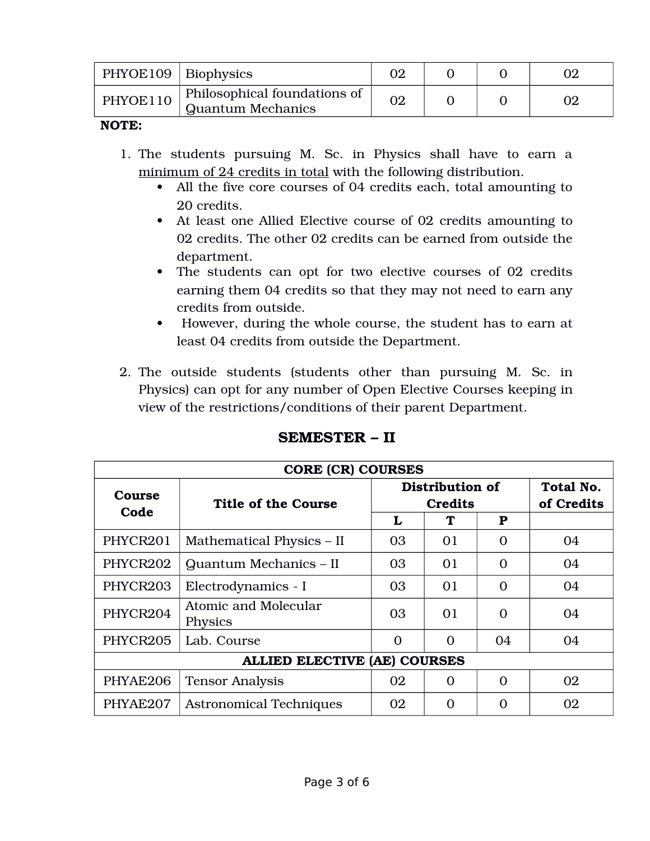| PHYOE109   Biophysics |                                                          |  |  |
|-----------------------|----------------------------------------------------------|--|--|
| PHYOE110              | Philosophical foundations of<br><b>Quantum Mechanics</b> |  |  |

- 1. The students pursuing M. Sc. in Physics shall have to earn a minimum of 24 credits in total with the following distribution.
	- All the five core courses of 04 credits each, total amounting to 20 credits.
	- At least one Allied Elective course of 02 credits amounting to 02 credits. The other 02 credits can be earned from outside the department.
	- The students can opt for two elective courses of 02 credits earning them 04 credits so that they may not need to earn any credits from outside.
	- However, during the whole course, the student has to earn at least 04 credits from outside the Department.
- 2. The outside students (students other than pursuing M. Sc. in Physics) can opt for any number of Open Elective Courses keeping in view of the restrictions/conditions of their parent Department.

|          | <b>CORE (CR) COURSES</b>               |                                   |          |          |                                |
|----------|----------------------------------------|-----------------------------------|----------|----------|--------------------------------|
| Course   | <b>Title of the Course</b>             | Distribution of<br><b>Credits</b> |          |          | <b>Total No.</b><br>of Credits |
| Code     |                                        | L                                 | Т        | P        |                                |
| PHYCR201 | Mathematical Physics – II              | 03                                | 01       | $\Omega$ | 04                             |
| PHYCR202 | Quantum Mechanics - II                 | 03                                | 01       | $\Omega$ | 04                             |
| PHYCR203 | Electrodynamics - I                    | 03                                | 01       | $\Omega$ | 04                             |
| PHYCR204 | Atomic and Molecular<br><b>Physics</b> | 03                                | 01       | $\Omega$ | 04                             |
| PHYCR205 | Lab. Course                            | $\Omega$                          | 0        | 04       | 04                             |
|          | <b>ALLIED ELECTIVE (AE) COURSES</b>    |                                   |          |          |                                |
| PHYAE206 | <b>Tensor Analysis</b>                 | 02                                | $\Omega$ | $\Omega$ | 02                             |
| PHYAE207 | <b>Astronomical Techniques</b>         | 02                                | ∩        |          | 02                             |

### **SEMESTER – II**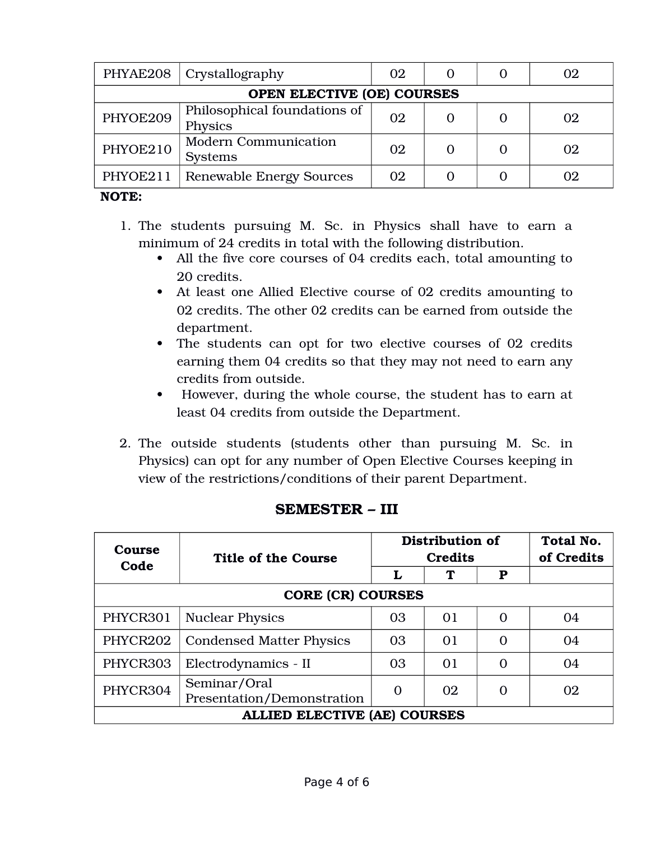|                            | PHYAE208   Crystallography                    | 02 |  |  | 02 |
|----------------------------|-----------------------------------------------|----|--|--|----|
| OPEN ELECTIVE (OE) COURSES |                                               |    |  |  |    |
| PHYOE209                   | Philosophical foundations of<br>Physics       | 02 |  |  | 02 |
| PHYOE210                   | <b>Modern Communication</b><br><b>Systems</b> | 02 |  |  | 02 |
| PHYOE211                   | <b>Renewable Energy Sources</b>               | 02 |  |  | Oʻ |

- 1. The students pursuing M. Sc. in Physics shall have to earn a minimum of 24 credits in total with the following distribution.
	- All the five core courses of 04 credits each, total amounting to 20 credits.
	- At least one Allied Elective course of 02 credits amounting to 02 credits. The other 02 credits can be earned from outside the department.
	- The students can opt for two elective courses of 02 credits earning them 04 credits so that they may not need to earn any credits from outside.
	- However, during the whole course, the student has to earn at least 04 credits from outside the Department.
- 2. The outside students (students other than pursuing M. Sc. in Physics) can opt for any number of Open Elective Courses keeping in view of the restrictions/conditions of their parent Department.

| Course<br>Code | Title of the Course                        | Distribution of<br><b>Credits</b> |    |           | Total No.<br>of Credits |  |
|----------------|--------------------------------------------|-----------------------------------|----|-----------|-------------------------|--|
|                |                                            | L                                 |    | ${\bf P}$ |                         |  |
|                | <b>CORE (CR) COURSES</b>                   |                                   |    |           |                         |  |
| PHYCR301       | <b>Nuclear Physics</b>                     | 03                                | 01 | $\Omega$  | 04                      |  |
| PHYCR202       | <b>Condensed Matter Physics</b>            | 03                                | 01 | $\Omega$  | 04                      |  |
| PHYCR303       | Electrodynamics - II                       | 03                                | 01 | $\Omega$  | 04                      |  |
| PHYCR304       | Seminar/Oral<br>Presentation/Demonstration | $\Omega$                          | 02 | $\Omega$  | 02                      |  |
|                | <b>ALLIED ELECTIVE (AE) COURSES</b>        |                                   |    |           |                         |  |

## **SEMESTER – III**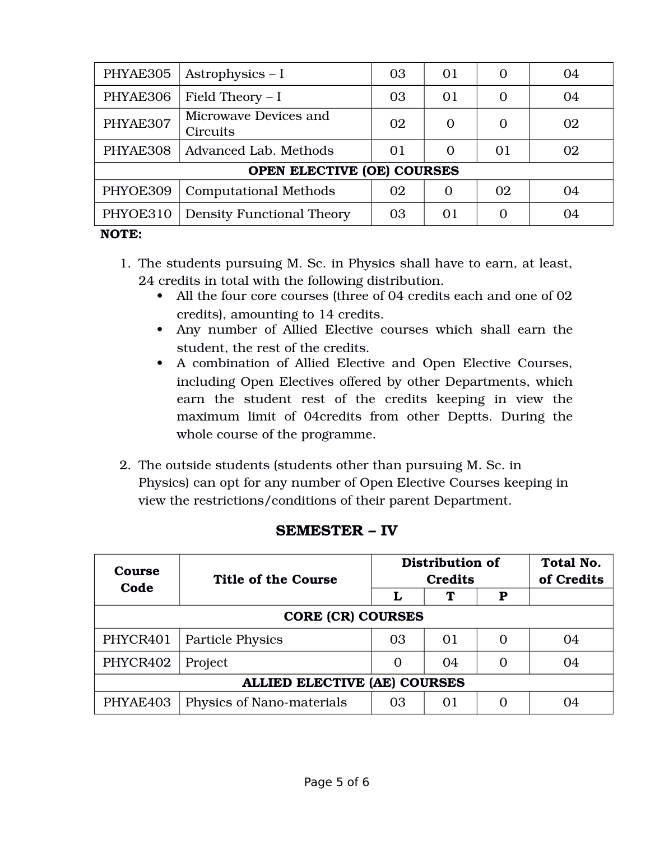| PHYAE305 | Astrophysics $-1$                 | 03 | 01       | $\Omega$ | 04 |
|----------|-----------------------------------|----|----------|----------|----|
| PHYAE306 | Field Theory $- I$                | 03 | 01       | $\Omega$ | 04 |
| PHYAE307 | Microwave Devices and<br>Circuits | 02 | $\Omega$ | $\Omega$ | 02 |
| PHYAE308 | Advanced Lab. Methods             | 01 | $\Omega$ | 01       | 02 |
|          | <b>OPEN ELECTIVE (OE) COURSES</b> |    |          |          |    |
| PHYOE309 | <b>Computational Methods</b>      | 02 | 0        | 02       | 04 |
| PHYOE310 | <b>Density Functional Theory</b>  | 03 | 01       | $\Omega$ | 04 |

- 1. The students pursuing M. Sc. in Physics shall have to earn, at least, 24 credits in total with the following distribution.
	- All the four core courses (three of 04 credits each and one of 02 credits), amounting to 14 credits.
	- Any number of Allied Elective courses which shall earn the student, the rest of the credits.
	- A combination of Allied Elective and Open Elective Courses, including Open Electives offered by other Departments, which earn the student rest of the credits keeping in view the maximum limit of 04credits from other Deptts. During the whole course of the programme.
- 2. The outside students (students other than pursuing M. Sc. in Physics) can opt for any number of Open Elective Courses keeping in view the restrictions/conditions of their parent Department.

| Course<br>Code           | Title of the Course                 | Distribution of<br><b>Credits</b> |            |           | Total No.<br>of Credits |
|--------------------------|-------------------------------------|-----------------------------------|------------|-----------|-------------------------|
|                          |                                     |                                   | Т          | ${\bf P}$ |                         |
| <b>CORE (CR) COURSES</b> |                                     |                                   |            |           |                         |
| PHYCR401                 | <b>Particle Physics</b>             | 03                                | $\Omega$ 1 | $\Omega$  | 04                      |
| PHYCR402                 | Project                             | 0                                 | 04         | $\Omega$  | 04                      |
|                          | <b>ALLIED ELECTIVE (AE) COURSES</b> |                                   |            |           |                         |
| PHYAE403                 | Physics of Nano-materials           | 03                                | 01         | O         | 04                      |

## **SEMESTER – IV**